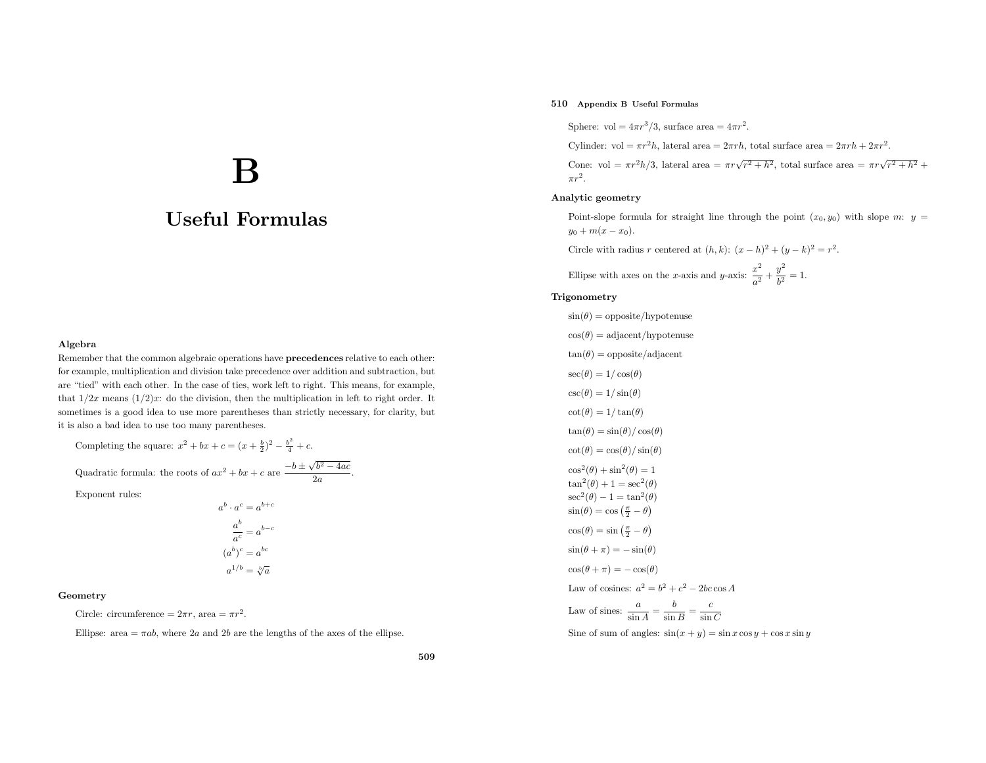# $\mathbf B$

# Useful Formulas

#### Algebra

Remember that the common algebraic operations have **precedences** relative to each other: for example, multiplication and division take precedence over addition and subtraction, but are "tied" with each other. In the case of ties, work left to right. This means, for example, that  $1/2x$  means  $(1/2)x$ : do the division, then the multiplication in left to right order. It sometimes is <sup>a</sup> good idea to use more parentheses than strictly necessary, for clarity, but it is also <sup>a</sup> bad idea to use too many parentheses.

Completing the square:  $x^2 + bx + c = (x + \frac{b}{2})^2 - \frac{b^2}{4} + c$ . Quadratic formula: the roots of  $ax^2 + bx + c$  are  $\frac{-b \pm \sqrt{b^2 - 4ac}}{2a}$ .

Exponent rules:

$$
a^{b} \cdot a^{c} = a^{b+c}
$$

$$
\frac{a^{b}}{a^{c}} = a^{b-c}
$$

$$
(a^{b})^{c} = a^{bc}
$$

$$
a^{1/b} = \sqrt[b]{a}
$$

#### Geometry

Circle: circumference =  $2\pi r$ , area =  $\pi r^2$ .

Ellipse: area  $=\pi ab$ , where 2*a* and 2*b* are the lengths of the axes of the ellipse.

## 510 Appendix <sup>B</sup> Useful Formulas

Sphere: vol =  $4\pi r^3/3$ , surface area =  $4\pi r^2$ .

Cylinder: vol =  $\pi r^2 h$ , lateral area =  $2\pi rh$ , total surface area =  $2\pi rh + 2\pi r^2$ .

Cone: vol =  $\pi r^2 h/3$ , lateral area =  $\pi r \sqrt{r^2 + h^2}$ , total surface area =  $\pi r \sqrt{r^2 + h^2}$  +  $\pi r^2$ .

### Analytic geometry

Point-slope formula for straight line through the point  $(x_0, y_0)$  with slope m:  $y =$  $y_0 + m(x - x_0).$ 

Circle with radius r centered at  $(h, k)$ :  $(x - h)^2 + (y - k)^2 = r^2$ .

Ellipse with axes on the x-axis and y-axis:  $\frac{x^2}{a^2} + \frac{y^2}{b^2} = 1$ .

#### Trigonometry

$$
\sin(\theta) = \text{opposite/hypotenuse}
$$
\n
$$
\cos(\theta) = \text{adjacent/hypotenuse}
$$
\n
$$
\tan(\theta) = \text{opposite/adjacent}
$$
\n
$$
\sec(\theta) = 1/\cos(\theta)
$$
\n
$$
\csc(\theta) = 1/\sin(\theta)
$$
\n
$$
\cot(\theta) = 1/\tan(\theta)
$$
\n
$$
\tan(\theta) = \sin(\theta)/\cos(\theta)
$$
\n
$$
\cot(\theta) = \cos(\theta)/\sin(\theta)
$$
\n
$$
\cos^2(\theta) + \sin^2(\theta) = 1
$$
\n
$$
\tan^2(\theta) + 1 = \sec^2(\theta)
$$
\n
$$
\sec^2(\theta) - 1 = \tan^2(\theta)
$$
\n
$$
\sin(\theta) = \cos(\frac{\pi}{2} - \theta)
$$
\n
$$
\cos(\theta) = \sin(\frac{\pi}{2} - \theta)
$$
\n
$$
\sin(\theta + \pi) = -\sin(\theta)
$$
\n
$$
\cos(\theta + \pi) = -\cos(\theta)
$$
\n
$$
\text{Law of cosines: } \frac{a}{\sin A} = \frac{b}{\sin B} = \frac{c}{\sin C}
$$

Sine of sum of angles:  $sin(x + y) = sin x cos y + cos x sin y$